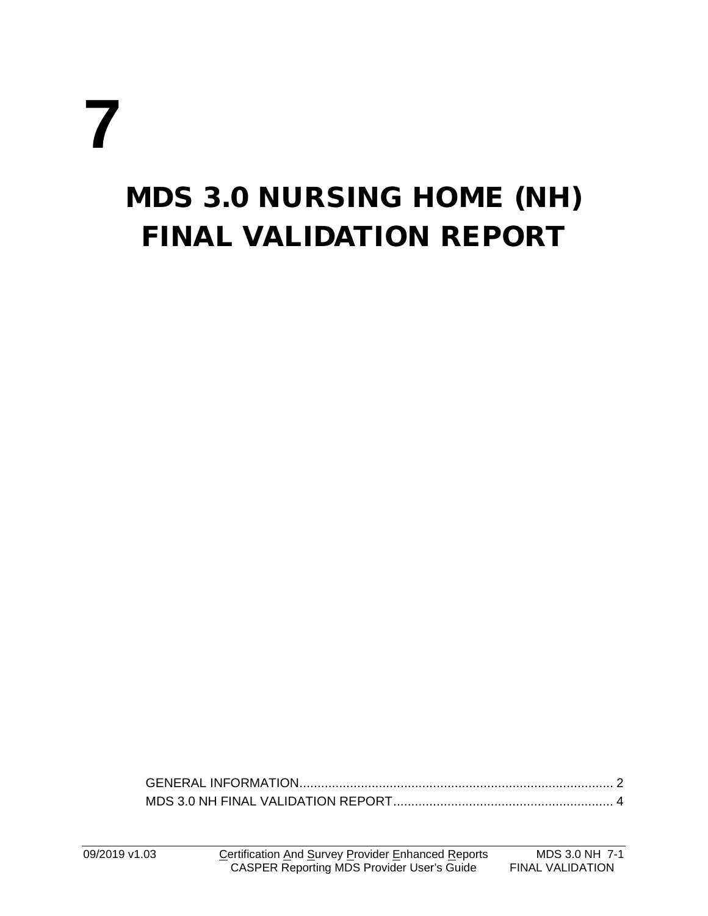# **7**

## MDS 3.0 NURSING HOME (NH) FINAL VALIDATION REPORT

[GENERAL INFORMATION.......................................................................................](#page-1-0) 2 [MDS 3.0 NH FINAL VALIDATION REPORT.............................................................](#page-3-0) 4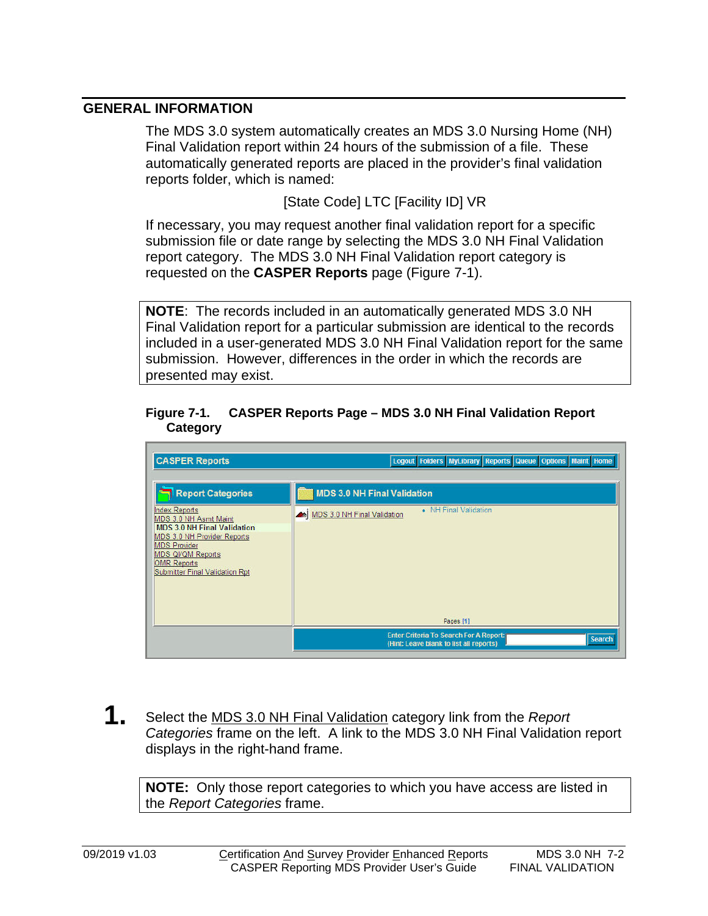#### <span id="page-1-0"></span>**GENERAL INFORMATION**

The MDS 3.0 system automatically creates an MDS 3.0 Nursing Home (NH) Final Validation report within 24 hours of the submission of a file. These automatically generated reports are placed in the provider's final validation reports folder, which is named:

[State Code] LTC [Facility ID] VR

If necessary, you may request another final validation report for a specific submission file or date range by selecting the MDS 3.0 NH Final Validation report category. The MDS 3.0 NH Final Validation report category is requested on the **CASPER Reports** page (Figure 7-1).

**NOTE**: The records included in an automatically generated MDS 3.0 NH Final Validation report for a particular submission are identical to the records included in a user-generated MDS 3.0 NH Final Validation report for the same submission. However, differences in the order in which the records are presented may exist.

#### **Figure 7-1. CASPER Reports Page – MDS 3.0 NH Final Validation Report Category**



**1.** Select the MDS 3.0 NH Final Validation category link from the *Report Categories* frame on the left. A link to the MDS 3.0 NH Final Validation report displays in the right-hand frame.

**NOTE:** Only those report categories to which you have access are listed in the *Report Categories* frame.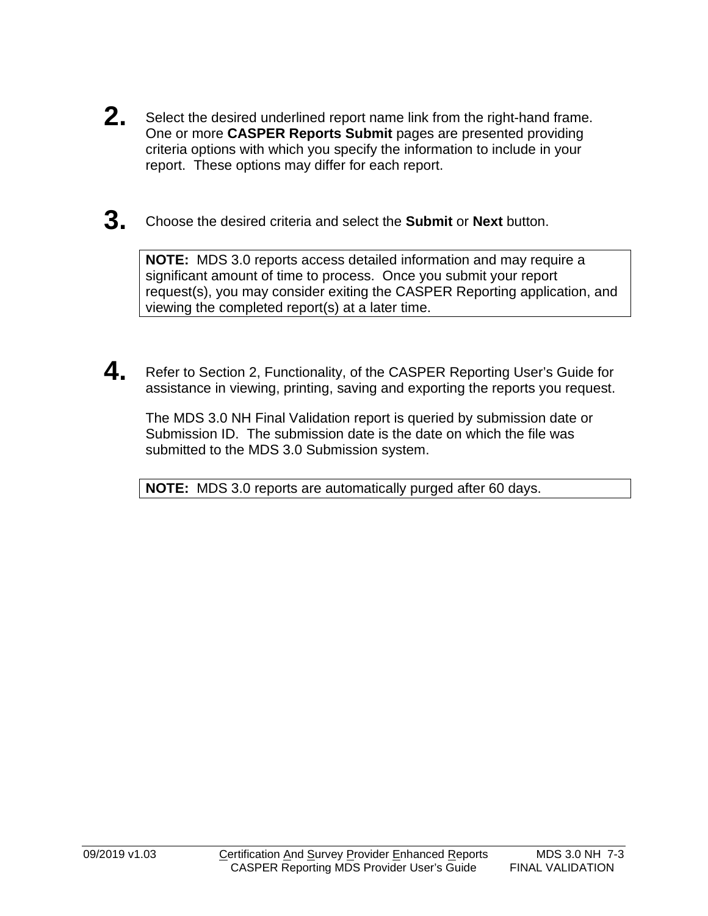- **2.** Select the desired underlined report name link from the right-hand frame. One or more **CASPER Reports Submit** pages are presented providing criteria options with which you specify the information to include in your report. These options may differ for each report.
- **3.** Choose the desired criteria and select the **Submit** or **Next** button.

**NOTE:** MDS 3.0 reports access detailed information and may require a significant amount of time to process. Once you submit your report request(s), you may consider exiting the CASPER Reporting application, and viewing the completed report(s) at a later time.

**4.** Refer to Section 2, Functionality, of the CASPER Reporting User's Guide for assistance in viewing, printing, saving and exporting the reports you request.

The MDS 3.0 NH Final Validation report is queried by submission date or Submission ID. The submission date is the date on which the file was submitted to the MDS 3.0 Submission system.

**NOTE:** MDS 3.0 reports are automatically purged after 60 days.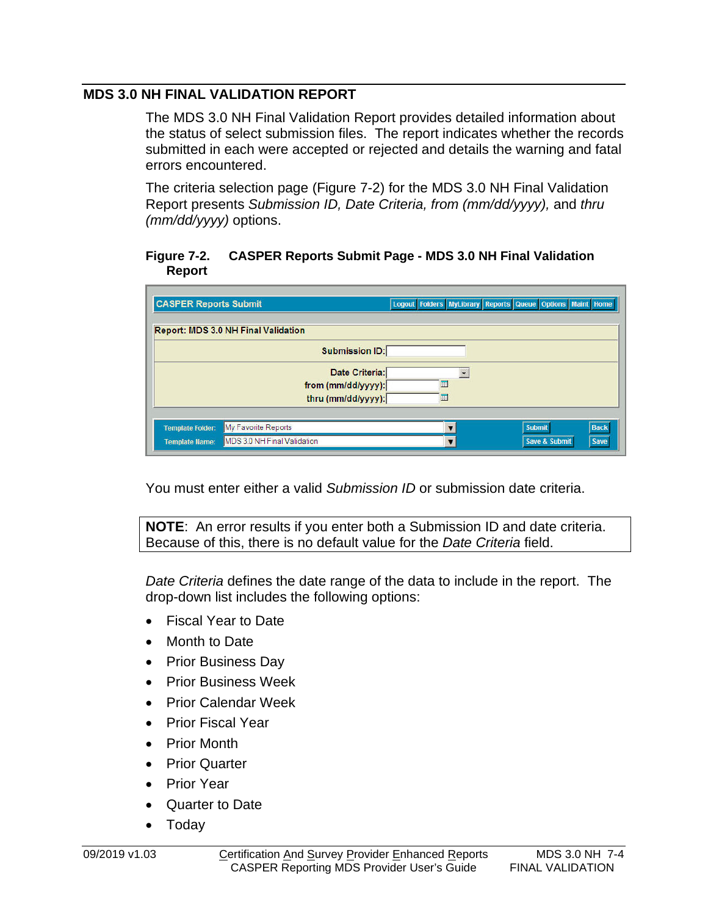### <span id="page-3-0"></span>**MDS 3.0 NH FINAL VALIDATION REPORT**

The MDS 3.0 NH Final Validation Report provides detailed information about the status of select submission files. The report indicates whether the records submitted in each were accepted or rejected and details the warning and fatal errors encountered.

The criteria selection page (Figure 7-2) for the MDS 3.0 NH Final Validation Report presents *Submission ID, Date Criteria, from (mm/dd/yyyy),* and *thru (mm/dd/yyyy)* options.

#### **Figure 7-2. CASPER Reports Submit Page - MDS 3.0 NH Final Validation Report**

| <b>CASPER Reports Submit</b> |                                            |   | Logout Folders MyLibrary Reports Queue Options Maint Home |
|------------------------------|--------------------------------------------|---|-----------------------------------------------------------|
|                              | <b>Report: MDS 3.0 NH Final Validation</b> |   |                                                           |
|                              | <b>Submission ID:</b>                      |   |                                                           |
|                              | Date Criteria:                             |   |                                                           |
|                              | from (mm/dd/yyyy):                         | 酾 |                                                           |
|                              | thru (mm/dd/yyyy):                         | 匪 |                                                           |
| <b>Template Folder:</b>      | My Favorite Reports                        |   | <b>Back</b><br><b>Submit</b>                              |
| <b>Template Name:</b>        | MDS 3.0 NH Final Validation                |   | <b>Save &amp; Submit</b><br>Save                          |

You must enter either a valid *Submission ID* or submission date criteria.

**NOTE**: An error results if you enter both a Submission ID and date criteria. Because of this, there is no default value for the *Date Criteria* field.

*Date Criteria* defines the date range of the data to include in the report. The drop-down list includes the following options:

- Fiscal Year to Date
- Month to Date
- Prior Business Day
- Prior Business Week
- Prior Calendar Week
- Prior Fiscal Year
- Prior Month
- Prior Quarter
- Prior Year
- Quarter to Date
- Today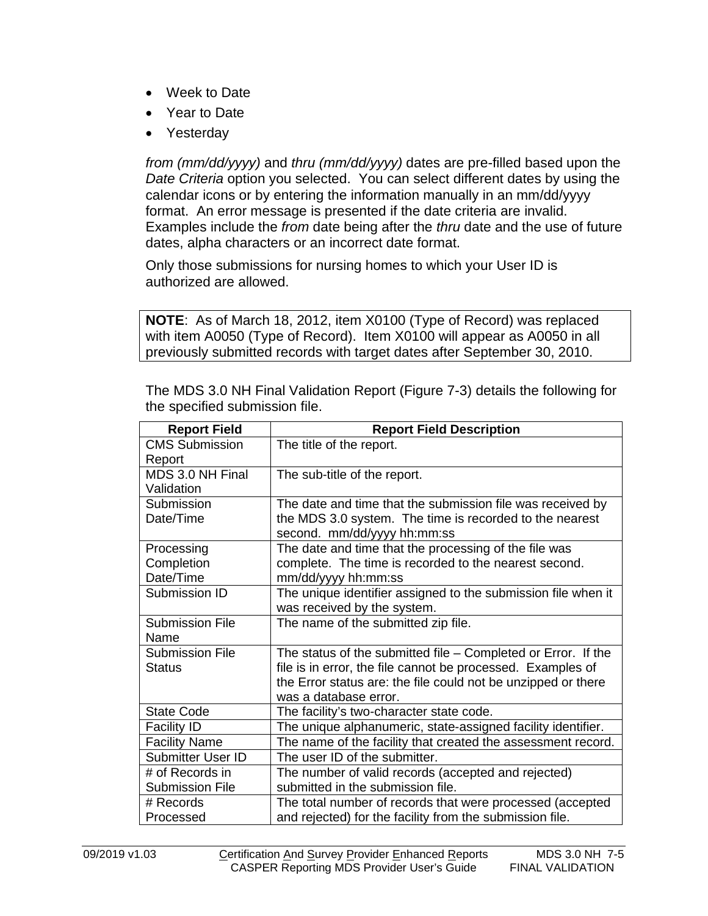- Week to Date
- Year to Date
- Yesterday

*from (mm/dd/yyyy)* and *thru (mm/dd/yyyy)* dates are pre-filled based upon the *Date Criteria* option you selected. You can select different dates by using the calendar icons or by entering the information manually in an mm/dd/yyyy format. An error message is presented if the date criteria are invalid. Examples include the *from* date being after the *thru* date and the use of future dates, alpha characters or an incorrect date format.

Only those submissions for nursing homes to which your User ID is authorized are allowed.

**NOTE**: As of March 18, 2012, item X0100 (Type of Record) was replaced with item A0050 (Type of Record). Item X0100 will appear as A0050 in all previously submitted records with target dates after September 30, 2010.

| <b>Report Field</b>    | <b>Report Field Description</b>                                 |
|------------------------|-----------------------------------------------------------------|
| <b>CMS Submission</b>  | The title of the report.                                        |
| Report                 |                                                                 |
| MDS 3.0 NH Final       | The sub-title of the report.                                    |
| Validation             |                                                                 |
| Submission             | The date and time that the submission file was received by      |
| Date/Time              | the MDS 3.0 system. The time is recorded to the nearest         |
|                        | second. mm/dd/yyyy hh:mm:ss                                     |
| Processing             | The date and time that the processing of the file was           |
| Completion             | complete. The time is recorded to the nearest second.           |
| Date/Time              | mm/dd/yyyy hh:mm:ss                                             |
| Submission ID          | The unique identifier assigned to the submission file when it   |
|                        | was received by the system.                                     |
| <b>Submission File</b> | The name of the submitted zip file.                             |
| Name                   |                                                                 |
| <b>Submission File</b> | The status of the submitted file $-$ Completed or Error. If the |
| <b>Status</b>          | file is in error, the file cannot be processed. Examples of     |
|                        | the Error status are: the file could not be unzipped or there   |
|                        | was a database error.                                           |
| <b>State Code</b>      | The facility's two-character state code.                        |
| <b>Facility ID</b>     | The unique alphanumeric, state-assigned facility identifier.    |
| <b>Facility Name</b>   | The name of the facility that created the assessment record.    |
| Submitter User ID      | The user ID of the submitter.                                   |
| # of Records in        | The number of valid records (accepted and rejected)             |
| <b>Submission File</b> | submitted in the submission file.                               |
| # Records              | The total number of records that were processed (accepted       |
| Processed              | and rejected) for the facility from the submission file.        |

The MDS 3.0 NH Final Validation Report (Figure 7-3) details the following for the specified submission file.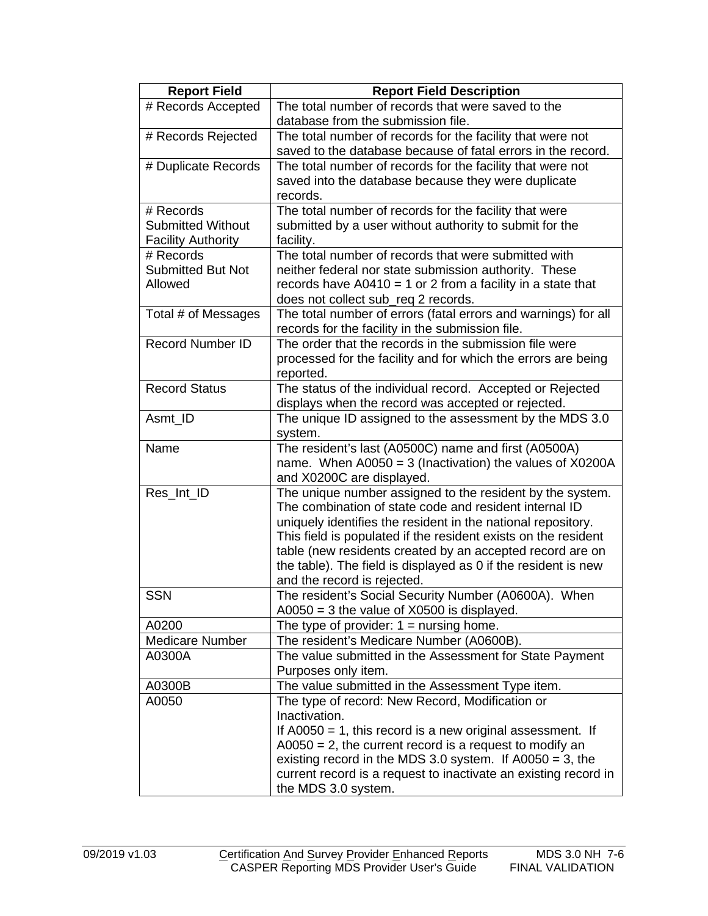| <b>Report Field</b>       | <b>Report Field Description</b>                                                                                     |
|---------------------------|---------------------------------------------------------------------------------------------------------------------|
| # Records Accepted        | The total number of records that were saved to the                                                                  |
|                           | database from the submission file.                                                                                  |
| # Records Rejected        | The total number of records for the facility that were not                                                          |
|                           | saved to the database because of fatal errors in the record.                                                        |
| # Duplicate Records       | The total number of records for the facility that were not                                                          |
|                           | saved into the database because they were duplicate                                                                 |
|                           | records.                                                                                                            |
| # Records                 | The total number of records for the facility that were                                                              |
| <b>Submitted Without</b>  | submitted by a user without authority to submit for the                                                             |
| <b>Facility Authority</b> | facility.                                                                                                           |
| # Records                 | The total number of records that were submitted with                                                                |
| <b>Submitted But Not</b>  | neither federal nor state submission authority. These                                                               |
| Allowed                   | records have $A0410 = 1$ or 2 from a facility in a state that                                                       |
|                           | does not collect sub_req 2 records.                                                                                 |
| Total # of Messages       | The total number of errors (fatal errors and warnings) for all                                                      |
|                           | records for the facility in the submission file.                                                                    |
| <b>Record Number ID</b>   | The order that the records in the submission file were                                                              |
|                           | processed for the facility and for which the errors are being                                                       |
|                           | reported.                                                                                                           |
| <b>Record Status</b>      | The status of the individual record. Accepted or Rejected                                                           |
|                           | displays when the record was accepted or rejected.                                                                  |
| Asmt_ID                   | The unique ID assigned to the assessment by the MDS 3.0                                                             |
|                           | system.                                                                                                             |
| Name                      | The resident's last (A0500C) name and first (A0500A)                                                                |
|                           | name. When $A0050 = 3$ (Inactivation) the values of X0200A                                                          |
|                           | and X0200C are displayed.                                                                                           |
| Res_Int_ID                | The unique number assigned to the resident by the system.<br>The combination of state code and resident internal ID |
|                           | uniquely identifies the resident in the national repository.                                                        |
|                           | This field is populated if the resident exists on the resident                                                      |
|                           | table (new residents created by an accepted record are on                                                           |
|                           | the table). The field is displayed as 0 if the resident is new                                                      |
|                           | and the record is rejected.                                                                                         |
| <b>SSN</b>                | The resident's Social Security Number (A0600A). When                                                                |
|                           | $A0050 = 3$ the value of $X0500$ is displayed.                                                                      |
| A0200                     | The type of provider: $1 =$ nursing home.                                                                           |
| <b>Medicare Number</b>    | The resident's Medicare Number (A0600B).                                                                            |
| A0300A                    | The value submitted in the Assessment for State Payment                                                             |
|                           | Purposes only item.                                                                                                 |
| A0300B                    | The value submitted in the Assessment Type item.                                                                    |
| A0050                     | The type of record: New Record, Modification or                                                                     |
|                           | Inactivation.                                                                                                       |
|                           | If $A0050 = 1$ , this record is a new original assessment. If                                                       |
|                           | $A0050 = 2$ , the current record is a request to modify an                                                          |
|                           | existing record in the MDS 3.0 system. If $A0050 = 3$ , the                                                         |
|                           | current record is a request to inactivate an existing record in                                                     |
|                           | the MDS 3.0 system.                                                                                                 |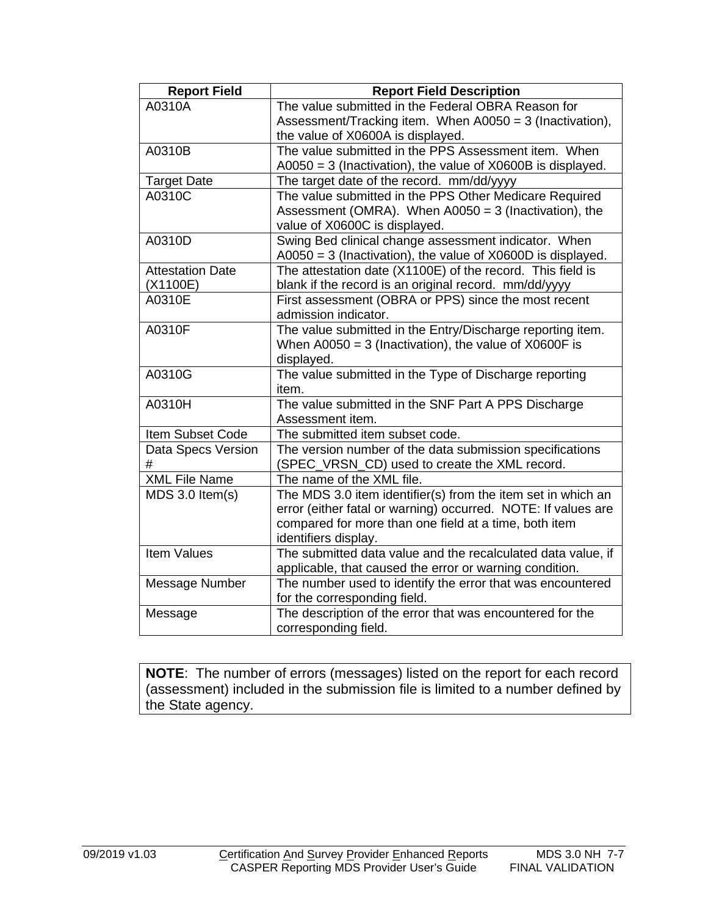| <b>Report Field</b>     | <b>Report Field Description</b>                               |
|-------------------------|---------------------------------------------------------------|
| A0310A                  | The value submitted in the Federal OBRA Reason for            |
|                         | Assessment/Tracking item. When A0050 = 3 (Inactivation),      |
|                         | the value of X0600A is displayed.                             |
| A0310B                  | The value submitted in the PPS Assessment item. When          |
|                         | $A0050 = 3$ (Inactivation), the value of X0600B is displayed. |
| <b>Target Date</b>      | The target date of the record. mm/dd/yyyy                     |
| A0310C                  | The value submitted in the PPS Other Medicare Required        |
|                         | Assessment (OMRA). When A0050 = 3 (Inactivation), the         |
|                         | value of X0600C is displayed.                                 |
| A0310D                  | Swing Bed clinical change assessment indicator. When          |
|                         | $A0050 = 3$ (Inactivation), the value of X0600D is displayed. |
| <b>Attestation Date</b> | The attestation date (X1100E) of the record. This field is    |
| (X1100E)                | blank if the record is an original record. mm/dd/yyyy         |
| A0310E                  | First assessment (OBRA or PPS) since the most recent          |
|                         | admission indicator.                                          |
| A0310F                  | The value submitted in the Entry/Discharge reporting item.    |
|                         | When $A0050 = 3$ (Inactivation), the value of X0600F is       |
|                         | displayed.                                                    |
| A0310G                  | The value submitted in the Type of Discharge reporting        |
|                         | item.                                                         |
| A0310H                  | The value submitted in the SNF Part A PPS Discharge           |
|                         | Assessment item.                                              |
| Item Subset Code        | The submitted item subset code.                               |
| Data Specs Version      | The version number of the data submission specifications      |
| #                       | (SPEC_VRSN_CD) used to create the XML record.                 |
| <b>XML File Name</b>    | The name of the XML file.                                     |
| $MDS$ 3.0 ltem $(s)$    | The MDS 3.0 item identifier(s) from the item set in which an  |
|                         | error (either fatal or warning) occurred. NOTE: If values are |
|                         | compared for more than one field at a time, both item         |
|                         | identifiers display.                                          |
| <b>Item Values</b>      | The submitted data value and the recalculated data value, if  |
|                         | applicable, that caused the error or warning condition.       |
| Message Number          | The number used to identify the error that was encountered    |
|                         | for the corresponding field.                                  |
| Message                 | The description of the error that was encountered for the     |
|                         | corresponding field.                                          |

**NOTE**: The number of errors (messages) listed on the report for each record (assessment) included in the submission file is limited to a number defined by the State agency.